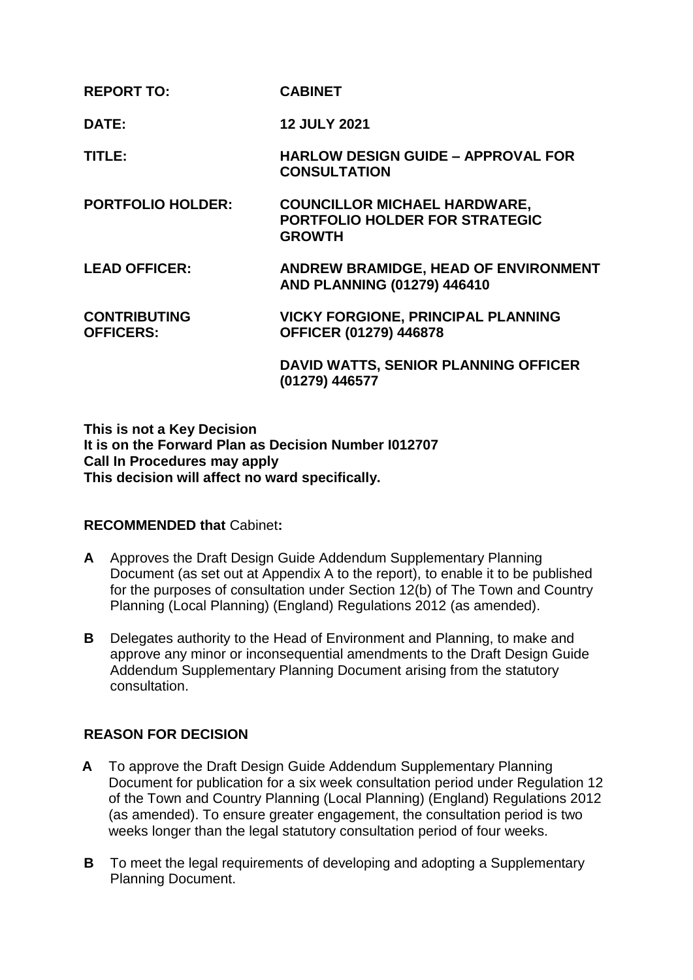| <b>REPORT TO:</b>                       | <b>CABINET</b>                                                                         |
|-----------------------------------------|----------------------------------------------------------------------------------------|
| <b>DATE:</b>                            | <b>12 JULY 2021</b>                                                                    |
| TITLE:                                  | <b>HARLOW DESIGN GUIDE - APPROVAL FOR</b><br><b>CONSULTATION</b>                       |
| <b>PORTFOLIO HOLDER:</b>                | <b>COUNCILLOR MICHAEL HARDWARE,</b><br>PORTFOLIO HOLDER FOR STRATEGIC<br><b>GROWTH</b> |
| <b>LEAD OFFICER:</b>                    | ANDREW BRAMIDGE, HEAD OF ENVIRONMENT<br>AND PLANNING (01279) 446410                    |
| <b>CONTRIBUTING</b><br><b>OFFICERS:</b> | <b>VICKY FORGIONE, PRINCIPAL PLANNING</b><br><b>OFFICER (01279) 446878</b>             |
|                                         | <b>DAVID WATTS, SENIOR PLANNING OFFICER</b><br>(01279) 446577                          |

**This is not a Key Decision It is on the Forward Plan as Decision Number I012707 Call In Procedures may apply This decision will affect no ward specifically.**

# **RECOMMENDED that** Cabinet**:**

- **A** Approves the Draft Design Guide Addendum Supplementary Planning Document (as set out at Appendix A to the report), to enable it to be published for the purposes of consultation under Section 12(b) of The Town and Country Planning (Local Planning) (England) Regulations 2012 (as amended).
- **B** Delegates authority to the Head of Environment and Planning, to make and approve any minor or inconsequential amendments to the Draft Design Guide Addendum Supplementary Planning Document arising from the statutory consultation.

# **REASON FOR DECISION**

- **A** To approve the Draft Design Guide Addendum Supplementary Planning Document for publication for a six week consultation period under Regulation 12 of the Town and Country Planning (Local Planning) (England) Regulations 2012 (as amended). To ensure greater engagement, the consultation period is two weeks longer than the legal statutory consultation period of four weeks.
- **B** To meet the legal requirements of developing and adopting a Supplementary Planning Document.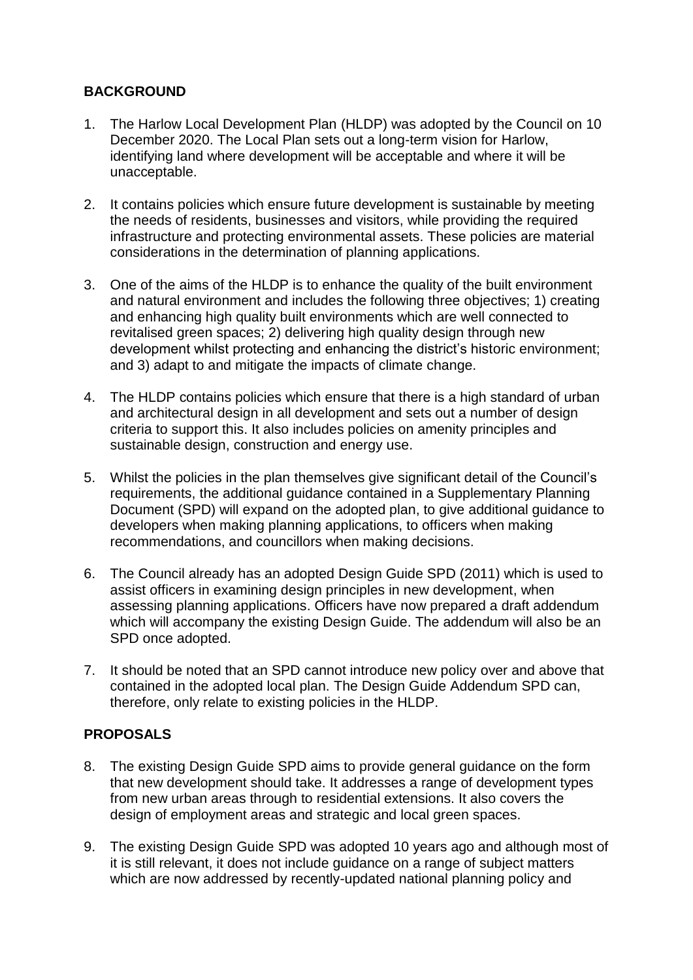# **BACKGROUND**

- 1. The Harlow Local Development Plan (HLDP) was adopted by the Council on 10 December 2020. The Local Plan sets out a long-term vision for Harlow, identifying land where development will be acceptable and where it will be unacceptable.
- 2. It contains policies which ensure future development is sustainable by meeting the needs of residents, businesses and visitors, while providing the required infrastructure and protecting environmental assets. These policies are material considerations in the determination of planning applications.
- 3. One of the aims of the HLDP is to enhance the quality of the built environment and natural environment and includes the following three objectives; 1) creating and enhancing high quality built environments which are well connected to revitalised green spaces; 2) delivering high quality design through new development whilst protecting and enhancing the district's historic environment; and 3) adapt to and mitigate the impacts of climate change.
- 4. The HLDP contains policies which ensure that there is a high standard of urban and architectural design in all development and sets out a number of design criteria to support this. It also includes policies on amenity principles and sustainable design, construction and energy use.
- 5. Whilst the policies in the plan themselves give significant detail of the Council's requirements, the additional guidance contained in a Supplementary Planning Document (SPD) will expand on the adopted plan, to give additional guidance to developers when making planning applications, to officers when making recommendations, and councillors when making decisions.
- 6. The Council already has an adopted Design Guide SPD (2011) which is used to assist officers in examining design principles in new development, when assessing planning applications. Officers have now prepared a draft addendum which will accompany the existing Design Guide. The addendum will also be an SPD once adopted.
- 7. It should be noted that an SPD cannot introduce new policy over and above that contained in the adopted local plan. The Design Guide Addendum SPD can, therefore, only relate to existing policies in the HLDP.

# **PROPOSALS**

- 8. The existing Design Guide SPD aims to provide general guidance on the form that new development should take. It addresses a range of development types from new urban areas through to residential extensions. It also covers the design of employment areas and strategic and local green spaces.
- 9. The existing Design Guide SPD was adopted 10 years ago and although most of it is still relevant, it does not include guidance on a range of subject matters which are now addressed by recently-updated national planning policy and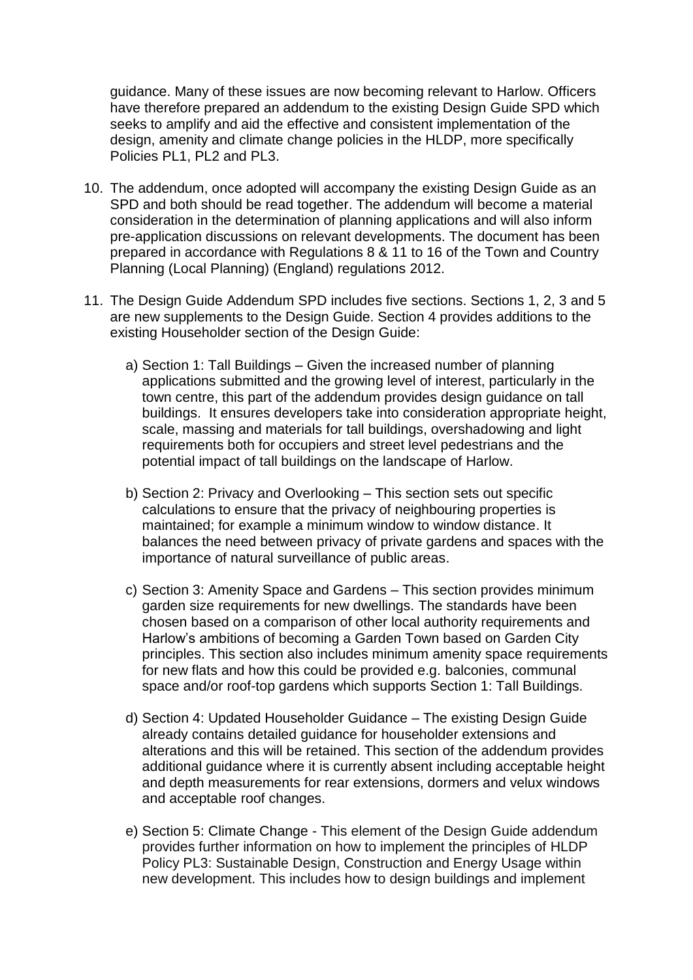guidance. Many of these issues are now becoming relevant to Harlow. Officers have therefore prepared an addendum to the existing Design Guide SPD which seeks to amplify and aid the effective and consistent implementation of the design, amenity and climate change policies in the HLDP, more specifically Policies PL1, PL2 and PL3.

- 10. The addendum, once adopted will accompany the existing Design Guide as an SPD and both should be read together. The addendum will become a material consideration in the determination of planning applications and will also inform pre-application discussions on relevant developments. The document has been prepared in accordance with Regulations 8 & 11 to 16 of the Town and Country Planning (Local Planning) (England) regulations 2012.
- 11. The Design Guide Addendum SPD includes five sections. Sections 1, 2, 3 and 5 are new supplements to the Design Guide. Section 4 provides additions to the existing Householder section of the Design Guide:
	- a) Section 1: Tall Buildings Given the increased number of planning applications submitted and the growing level of interest, particularly in the town centre, this part of the addendum provides design guidance on tall buildings. It ensures developers take into consideration appropriate height, scale, massing and materials for tall buildings, overshadowing and light requirements both for occupiers and street level pedestrians and the potential impact of tall buildings on the landscape of Harlow.
	- b) Section 2: Privacy and Overlooking This section sets out specific calculations to ensure that the privacy of neighbouring properties is maintained; for example a minimum window to window distance. It balances the need between privacy of private gardens and spaces with the importance of natural surveillance of public areas.
	- c) Section 3: Amenity Space and Gardens This section provides minimum garden size requirements for new dwellings. The standards have been chosen based on a comparison of other local authority requirements and Harlow's ambitions of becoming a Garden Town based on Garden City principles. This section also includes minimum amenity space requirements for new flats and how this could be provided e.g. balconies, communal space and/or roof-top gardens which supports Section 1: Tall Buildings.
	- d) Section 4: Updated Householder Guidance The existing Design Guide already contains detailed guidance for householder extensions and alterations and this will be retained. This section of the addendum provides additional guidance where it is currently absent including acceptable height and depth measurements for rear extensions, dormers and velux windows and acceptable roof changes.
	- e) Section 5: Climate Change This element of the Design Guide addendum provides further information on how to implement the principles of HLDP Policy PL3: Sustainable Design, Construction and Energy Usage within new development. This includes how to design buildings and implement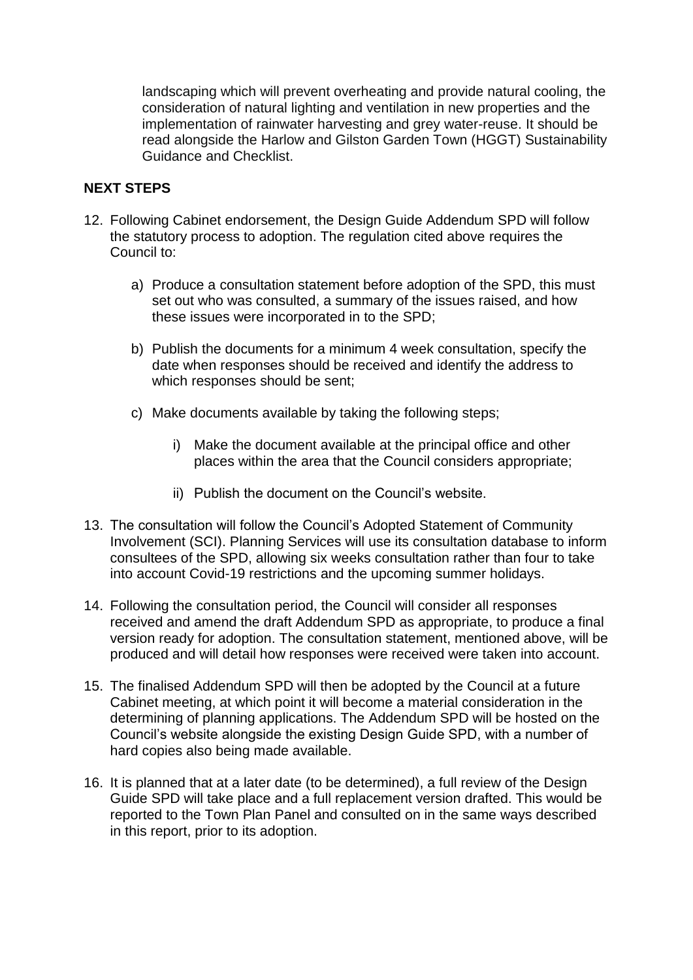landscaping which will prevent overheating and provide natural cooling, the consideration of natural lighting and ventilation in new properties and the implementation of rainwater harvesting and grey water-reuse. It should be read alongside the Harlow and Gilston Garden Town (HGGT) Sustainability Guidance and Checklist.

## **NEXT STEPS**

- 12. Following Cabinet endorsement, the Design Guide Addendum SPD will follow the statutory process to adoption. The regulation cited above requires the Council to:
	- a) Produce a consultation statement before adoption of the SPD, this must set out who was consulted, a summary of the issues raised, and how these issues were incorporated in to the SPD;
	- b) Publish the documents for a minimum 4 week consultation, specify the date when responses should be received and identify the address to which responses should be sent;
	- c) Make documents available by taking the following steps;
		- i) Make the document available at the principal office and other places within the area that the Council considers appropriate;
		- ii) Publish the document on the Council's website.
- 13. The consultation will follow the Council's Adopted Statement of Community Involvement (SCI). Planning Services will use its consultation database to inform consultees of the SPD, allowing six weeks consultation rather than four to take into account Covid-19 restrictions and the upcoming summer holidays.
- 14. Following the consultation period, the Council will consider all responses received and amend the draft Addendum SPD as appropriate, to produce a final version ready for adoption. The consultation statement, mentioned above, will be produced and will detail how responses were received were taken into account.
- 15. The finalised Addendum SPD will then be adopted by the Council at a future Cabinet meeting, at which point it will become a material consideration in the determining of planning applications. The Addendum SPD will be hosted on the Council's website alongside the existing Design Guide SPD, with a number of hard copies also being made available.
- 16. It is planned that at a later date (to be determined), a full review of the Design Guide SPD will take place and a full replacement version drafted. This would be reported to the Town Plan Panel and consulted on in the same ways described in this report, prior to its adoption.